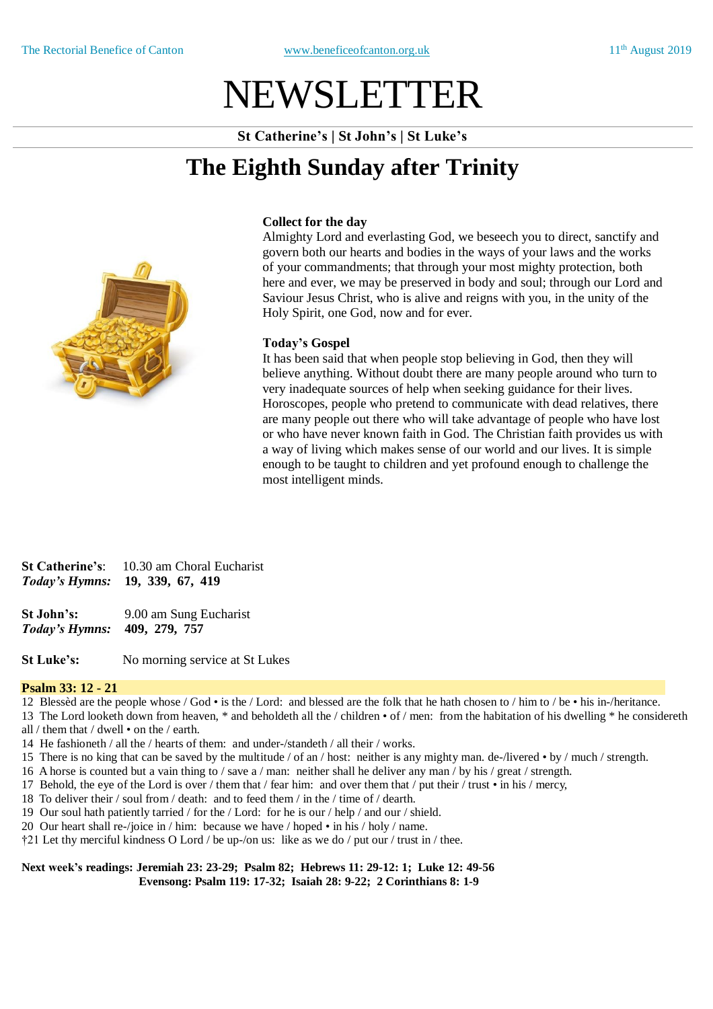# NEWSLETTER

**St Catherine's | St John's | St Luke's**

## **The Eighth Sunday after Trinity**



#### **Collect for the day**

Almighty Lord and everlasting God, we beseech you to direct, sanctify and govern both our hearts and bodies in the ways of your laws and the works of your commandments; that through your most mighty protection, both here and ever, we may be preserved in body and soul; through our Lord and Saviour Jesus Christ, who is alive and reigns with you, in the unity of the Holy Spirit, one God, now and for ever.

#### **Today's Gospel**

It has been said that when people stop believing in God, then they will believe anything. Without doubt there are many people around who turn to very inadequate sources of help when seeking guidance for their lives. Horoscopes, people who pretend to communicate with dead relatives, there are many people out there who will take advantage of people who have lost or who have never known faith in God. The Christian faith provides us with a way of living which makes sense of our world and our lives. It is simple enough to be taught to children and yet profound enough to challenge the most intelligent minds.

**St Catherine's**: 10.30 am Choral Eucharist *Today's Hymns:* **19, 339, 67, 419**

**St John's:** 9.00 am Sung Eucharist *Today's Hymns:* **409, 279, 757** 

**St Luke's:** No morning service at St Lukes

#### **Psalm 33: 12 - 21**

12 Blessèd are the people whose / God • is the / Lord: and blessed are the folk that he hath chosen to / him to / be • his in-/heritance.

13 The Lord looketh down from heaven, \* and beholdeth all the / children • of / men: from the habitation of his dwelling \* he considereth all / them that / dwell • on the / earth.

- 14 He fashioneth / all the / hearts of them: and under-/standeth / all their / works.
- 15 There is no king that can be saved by the multitude / of an / host: neither is any mighty man. de-/livered by / much / strength.
- 16 A horse is counted but a vain thing to / save a / man: neither shall he deliver any man / by his / great / strength.
- 17 Behold, the eye of the Lord is over / them that / fear him: and over them that / put their / trust in his / mercy,
- 18 To deliver their / soul from / death: and to feed them / in the / time of / dearth.
- 19 Our soul hath patiently tarried / for the / Lord: for he is our / help / and our / shield.
- 20 Our heart shall re-/joice in / him: because we have / hoped in his / holy / name.
- †21 Let thy merciful kindness O Lord / be up-/on us: like as we do / put our / trust in / thee.

#### **Next week's readings: Jeremiah 23: 23-29; Psalm 82; Hebrews 11: 29-12: 1; Luke 12: 49-56 Evensong: Psalm 119: 17-32; Isaiah 28: 9-22; 2 Corinthians 8: 1-9**